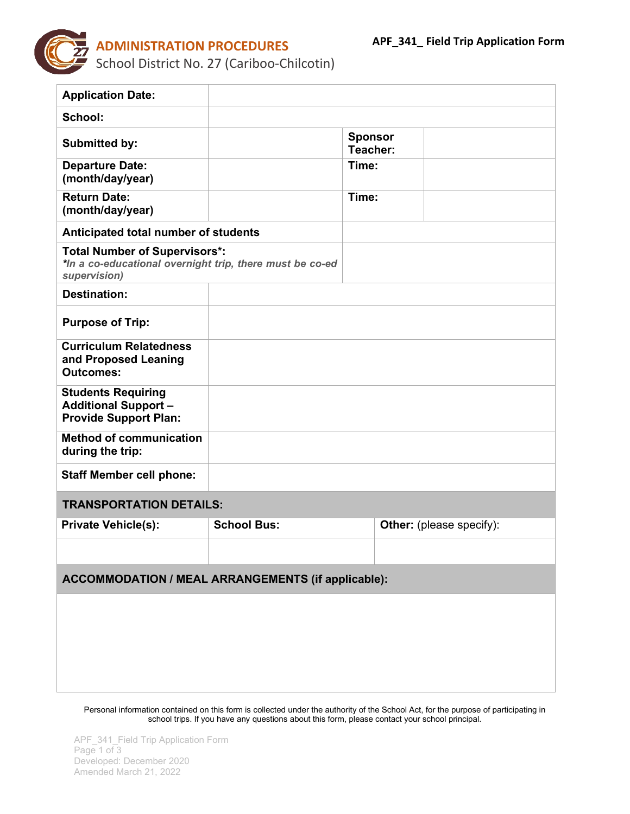

| <b>Application Date:</b>                                                                                         |                    |                            |                                 |  |
|------------------------------------------------------------------------------------------------------------------|--------------------|----------------------------|---------------------------------|--|
| School:                                                                                                          |                    |                            |                                 |  |
| <b>Submitted by:</b>                                                                                             |                    | <b>Sponsor</b><br>Teacher: |                                 |  |
| <b>Departure Date:</b><br>(month/day/year)                                                                       |                    | Time:                      |                                 |  |
| <b>Return Date:</b><br>(month/day/year)                                                                          |                    | Time:                      |                                 |  |
| Anticipated total number of students                                                                             |                    |                            |                                 |  |
| <b>Total Number of Supervisors*:</b><br>*In a co-educational overnight trip, there must be co-ed<br>supervision) |                    |                            |                                 |  |
| <b>Destination:</b>                                                                                              |                    |                            |                                 |  |
| <b>Purpose of Trip:</b>                                                                                          |                    |                            |                                 |  |
| <b>Curriculum Relatedness</b><br>and Proposed Leaning<br><b>Outcomes:</b>                                        |                    |                            |                                 |  |
| <b>Students Requiring</b><br><b>Additional Support -</b><br><b>Provide Support Plan:</b>                         |                    |                            |                                 |  |
| <b>Method of communication</b><br>during the trip:                                                               |                    |                            |                                 |  |
| <b>Staff Member cell phone:</b>                                                                                  |                    |                            |                                 |  |
| <b>TRANSPORTATION DETAILS:</b>                                                                                   |                    |                            |                                 |  |
| <b>Private Vehicle(s):</b>                                                                                       | <b>School Bus:</b> |                            | <b>Other:</b> (please specify): |  |
|                                                                                                                  |                    |                            |                                 |  |
| <b>ACCOMMODATION / MEAL ARRANGEMENTS (if applicable):</b>                                                        |                    |                            |                                 |  |
|                                                                                                                  |                    |                            |                                 |  |
|                                                                                                                  |                    |                            |                                 |  |
|                                                                                                                  |                    |                            |                                 |  |
|                                                                                                                  |                    |                            |                                 |  |

Personal information contained on this form is collected under the authority of the School Act, for the purpose of participating in school trips. If you have any questions about this form, please contact your school principal.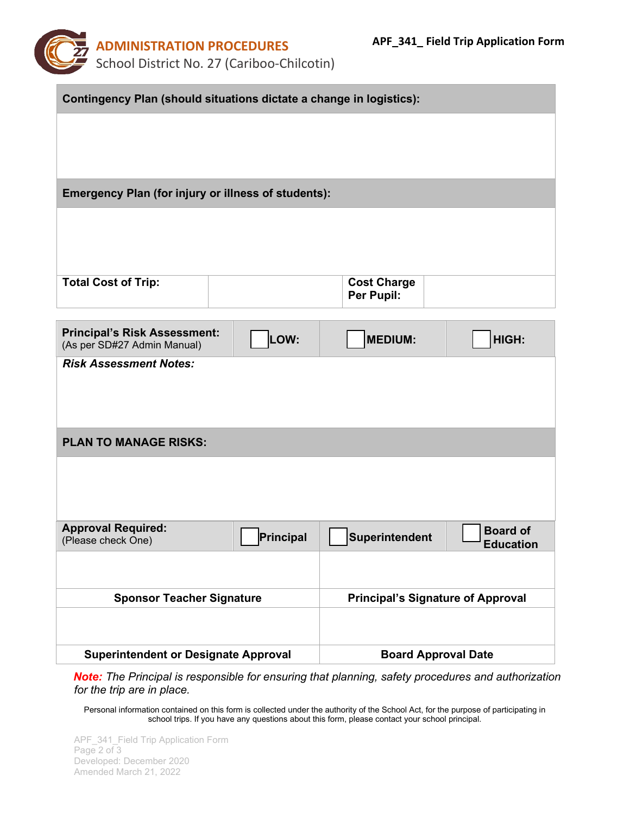

| Contingency Plan (should situations dictate a change in logistics): |           |                                          |                                     |  |
|---------------------------------------------------------------------|-----------|------------------------------------------|-------------------------------------|--|
|                                                                     |           |                                          |                                     |  |
|                                                                     |           |                                          |                                     |  |
|                                                                     |           |                                          |                                     |  |
| <b>Emergency Plan (for injury or illness of students):</b>          |           |                                          |                                     |  |
|                                                                     |           |                                          |                                     |  |
|                                                                     |           |                                          |                                     |  |
|                                                                     |           |                                          |                                     |  |
| <b>Total Cost of Trip:</b>                                          |           | <b>Cost Charge</b><br>Per Pupil:         |                                     |  |
|                                                                     |           |                                          |                                     |  |
| <b>Principal's Risk Assessment:</b><br>(As per SD#27 Admin Manual)  | LOW:      | <b>MEDIUM:</b>                           | HIGH:                               |  |
| <b>Risk Assessment Notes:</b>                                       |           |                                          |                                     |  |
|                                                                     |           |                                          |                                     |  |
|                                                                     |           |                                          |                                     |  |
| <b>PLAN TO MANAGE RISKS:</b>                                        |           |                                          |                                     |  |
|                                                                     |           |                                          |                                     |  |
|                                                                     |           |                                          |                                     |  |
| <b>Approval Required:</b>                                           |           |                                          |                                     |  |
| (Please check One)                                                  | Principal | Superintendent                           | <b>Board of</b><br><b>Education</b> |  |
|                                                                     |           |                                          |                                     |  |
| <b>Sponsor Teacher Signature</b>                                    |           | <b>Principal's Signature of Approval</b> |                                     |  |
|                                                                     |           |                                          |                                     |  |
|                                                                     |           |                                          |                                     |  |
| <b>Superintendent or Designate Approval</b>                         |           | <b>Board Approval Date</b>               |                                     |  |

*Note: The Principal is responsible for ensuring that planning, safety procedures and authorization for the trip are in place.* 

Personal information contained on this form is collected under the authority of the School Act, for the purpose of participating in school trips. If you have any questions about this form, please contact your school principal.

APF\_341\_Field Trip Application Form Page 2 of 3 Developed: December 2020 Amended March 21, 2022